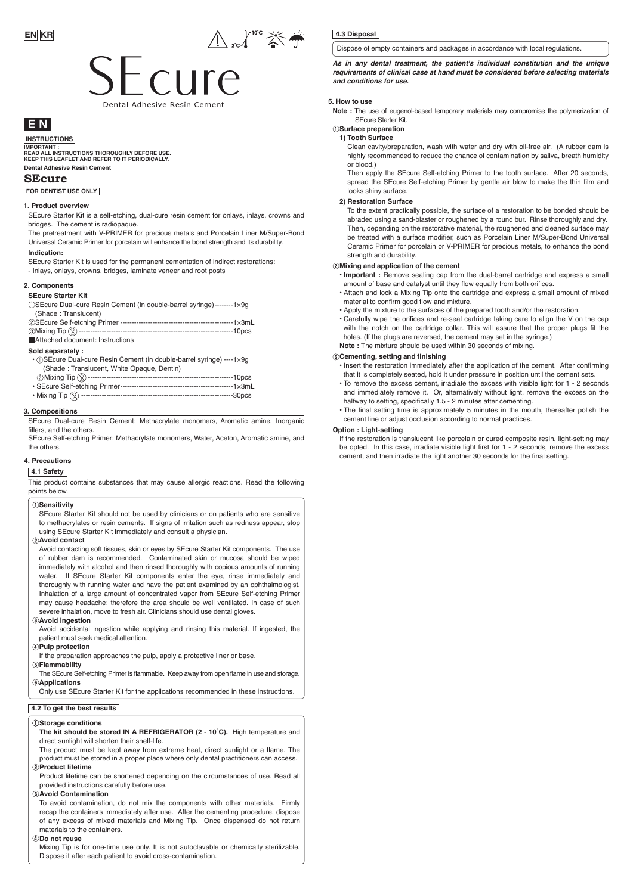

# cure Dental Adhesiye Resin Ceme

# **E N**

**INSTRUCTIONS**

**Dental Adhesive Resin Cement IMPORTANT : READ ALL INSTRUCTIONS THOROUGHLY BEFORE USE. KEEP THIS LEAFLET AND REFER TO IT PERIODICALLY.** 

#### **SEcure**

**FOR DENTIST USE ONLY**

## **1. Product overview**

SEcure Starter Kit is a self-etching, dual-cure resin cement for onlays, inlays, crowns and bridges. The cement is radiopaque.

The pretreatment with V-PRIMER for precious metals and Porcelain Liner M/Super-Bond Universal Ceramic Primer for porcelain will enhance the bond strength and its durability.

#### **Indication:**

SEcure Starter Kit is used for the permanent cementation of indirect restorations:

- Inlays, onlays, crowns, bridges, laminate veneer and root posts

#### **2. Components**

#### **SEcure Starter Kit**

| (1) SEcure Dual-cure Resin Cement (in double-barrel syringe)--------1x9q |  |
|--------------------------------------------------------------------------|--|
| (Shade: Translucent)                                                     |  |
|                                                                          |  |
|                                                                          |  |
| Attached document: Instructions                                          |  |
| Sold separately :                                                        |  |
| • (1) SEcure Dual-cure Resin Cement (in double-barrel syringe) ----1x9g  |  |

|                                            | . |
|--------------------------------------------|---|
| (Shade: Translucent, White Opaque, Dentin) |   |
|                                            |   |
|                                            |   |
| ------------------30pcs                    |   |

#### **3. Compositions**

SEcure Dual-cure Resin Cement: Methacrylate monomers, Aromatic amine, Inorganic fillers, and the others.

SEcure Self-etching Primer: Methacrylate monomers, Water, Aceton, Aromatic amine, and the others.

### **4. Precautions**

#### **4.1 Safety**

This product contains substances that may cause allergic reactions. Read the following points below.

#### **Sensitivity**

SEcure Starter Kit should not be used by clinicians or on patients who are sensitive to methacrylates or resin cements. If signs of irritation such as redness appear, stop using SEcure Starter Kit immediately and consult a physician.

#### **Avoid contact**

Avoid contacting soft tissues, skin or eyes by SEcure Starter Kit components. The use of rubber dam is recommended. Contaminated skin or mucosa should be wiped immediately with alcohol and then rinsed thoroughly with copious amounts of running water. If SEcure Starter Kit components enter the eye, rinse immediately and thoroughly with running water and have the patient examined by an ophthalmologist. Inhalation of a large amount of concentrated vapor from SEcure Self-etching Primer may cause headache: therefore the area should be well ventilated. In case of such severe inhalation, move to fresh air. Clinicians should use dental gloves.

#### **Avoid ingestion**

Avoid accidental ingestion while applying and rinsing this material. If ingested, the patient must seek medical attention.

## **Pulp protection**

If the preparation approaches the pulp, apply a protective liner or base.

**Flammability**

The SEcure Self-etching Primer is flammable. Keep away from open flame in use and storage. **Applications**

Only use SEcure Starter Kit for the applications recommended in these instructions.

## **4.2 To get the best results**

#### **Storage conditions**

**The kit should be stored IN A REFRIGERATOR (2 - 10˚C).** High temperature and direct sunlight will shorten their shelf-life.

The product must be kept away from extreme heat, direct sunlight or a flame. The product must be stored in a proper place where only dental practitioners can access. **Product lifetime**

Product lifetime can be shortened depending on the circumstances of use. Read all provided instructions carefully before use.

#### **Avoid Contamination**

To avoid contamination, do not mix the components with other materials. Firmly recap the containers immediately after use. After the cementing procedure, dispose of any excess of mixed materials and Mixing Tip. Once dispensed do not return materials to the containers.

#### **Do not reuse**

Mixing Tip is for one-time use only. It is not autoclavable or chemically sterilizable. Dispose it after each patient to avoid cross-contamination.

#### **4.3 Disposal**

Dispose of empty containers and packages in accordance with local regulations.

*As in any dental treatment, the patient's individual constitution and the unique requirements of clinical case at hand must be considered before selecting materials and conditions for use.* 

#### **5. How to use**

**Note :** The use of eugenol-based temporary materials may compromise the polymerization of SEcure Starter Kit.

#### **Surface preparation 1) Tooth Surface**

Clean cavity/preparation, wash with water and dry with oil-free air. (A rubber dam is highly recommended to reduce the chance of contamination by saliva, breath humidity or blood.)

Then apply the SEcure Self-etching Primer to the tooth surface. After 20 seconds, spread the SEcure Self-etching Primer by gentle air blow to make the thin film and looks shiny surface.

#### **2) Restoration Surface**

To the extent practically possible, the surface of a restoration to be bonded should be abraded using a sand-blaster or roughened by a round bur. Rinse thoroughly and dry. Then, depending on the restorative material, the roughened and cleaned surface may be treated with a surface modifier, such as Porcelain Liner M/Super-Bond Universal Ceramic Primer for porcelain or V-PRIMER for precious metals, to enhance the bond strength and durability.

#### **Mixing and application of the cement**

• **Important :** Remove sealing cap from the dual-barrel cartridge and express a small amount of base and catalyst until they flow equally from both orifices.

- Attach and lock a Mixing Tip onto the cartridge and express a small amount of mixed material to confirm good flow and mixture.
- Apply the mixture to the surfaces of the prepared tooth and/or the restoration.
- Carefully wipe the orifices and re-seal cartridge taking care to align the V on the cap with the notch on the cartridge collar. This will assure that the proper plugs fit the holes. (If the plugs are reversed, the cement may set in the syringe.) **Note :** The mixture should be used within 30 seconds of mixing.

#### **Cementing, setting and finishing**

- Insert the restoration immediately after the application of the cement. After confirming that it is completely seated, hold it under pressure in position until the cement sets.
- To remove the excess cement, irradiate the excess with visible light for 1 2 seconds and immediately remove it. Or, alternatively without light, remove the excess on the halfway to setting, specifically 1.5 - 2 minutes after cementing.
- The final setting time is approximately 5 minutes in the mouth, thereafter polish the cement line or adjust occlusion according to normal practices.

#### **Option : Light-setting**

If the restoration is translucent like porcelain or cured composite resin, light-setting may be opted. In this case, irradiate visible light first for 1 - 2 seconds, remove the excess cement, and then irradiate the light another 30 seconds for the final setting.